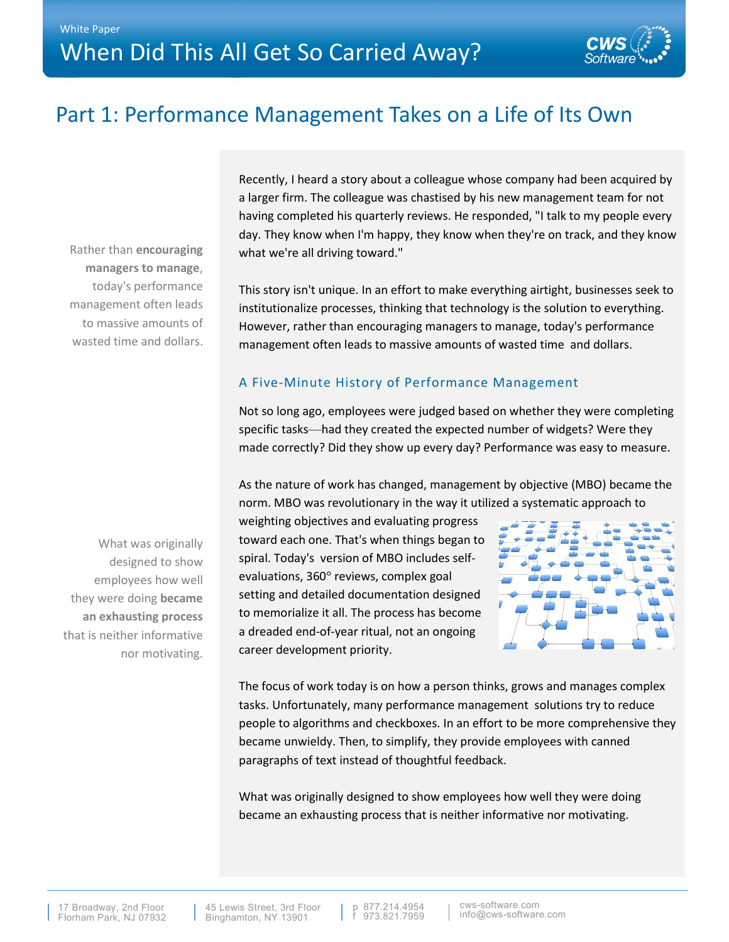

# Part 1: Performance Management Takes on a Life of Its Own

Rather than **encouraging managers to manage**, today's performance management often leads to massive amounts of wasted time and dollars. Recently, I heard a story about a colleague whose company had been acquired by a larger firm. The colleague was chastised by his new management team for not having completed his quarterly reviews. He responded, "I talk to my people every day. They know when I'm happy, they know when they're on track, and they know what we're all driving toward."

This story isn't unique. In an effort to make everything airtight, businesses seek to institutionalize processes, thinking that technology is the solution to everything. However, rather than encouraging managers to manage, today's performance management often leads to massive amounts of wasted time and dollars.

## A Five-Minute History of Performance Management

Not so long ago, employees were judged based on whether they were completing specific tasks—had they created the expected number of widgets? Were they made correctly? Did they show up every day? Performance was easy to measure.

As the nature of work has changed, management by objective (MBO) became the norm. MBO was revolutionary in the way it utilized a systematic approach to

weighting objectives and evaluating progress toward each one. That's when things began to spiral. Today's version of MBO includes selfevaluations, 360° reviews, complex goal setting and detailed documentation designed to memorialize it all. The process has become a dreaded end-of-year ritual, not an ongoing career development priority.



The focus of work today is on how a person thinks, grows and manages complex tasks. Unfortunately, many performance management solutions try to reduce people to algorithms and checkboxes. In an effort to be more comprehensive they became unwieldy. Then, to simplify, they provide employees with canned paragraphs of text instead of thoughtful feedback.

What was originally designed to show employees how well they were doing became an exhausting process that is neither informative nor motivating.

What was originally designed to show employees how well they were doing **became an exhausting process** that is neither informative nor motivating.

45 Lewis Street, 3rd Floor Binghamton, NY 13901

p 877.214.4954 f 973.821.7959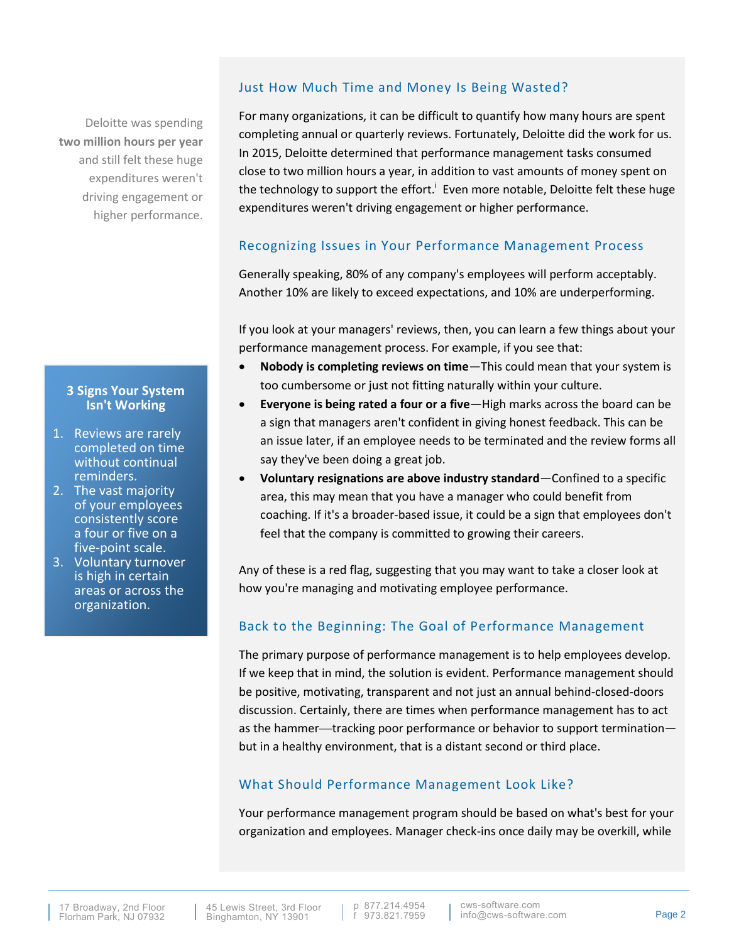## Deloitte was spending **two million hours per year**  and still felt these huge expenditures weren't driving engagement or higher performance.

#### **3 Signs Your System Isn't Working**

- 1. Reviews are rarely completed on time without continual reminders.
- 2. The vast majority of your employees consistently score a four or five on a five-point scale.
- 3. Voluntary turnover is high in certain areas or across the organization.

#### Just How Much Time and Money Is Being Wasted?

For many organizations, it can be difficult to quantify how many hours are spent completing annual or quarterly reviews. Fortunately, Deloitte did the work for us. In 2015, Deloitte determined that performance management tasks consumed close to two million hours a year, in addition to vast amounts of money spent on the technology to support the effort.<sup>i</sup> Even more notable, Deloitte felt these huge expenditures weren't driving engagement or higher performance.

#### Recognizing Issues in Your Performance Management Process

Generally speaking, 80% of any company's employees will perform acceptably. Another 10% are likely to exceed expectations, and 10% are underperforming.

If you look at your managers' reviews, then, you can learn a few things about your performance management process. For example, if you see that:

- **Nobody is completing reviews on time**—This could mean that your system is too cumbersome or just not fitting naturally within your culture.
- **Everyone is being rated a four or a five**—High marks across the board can be a sign that managers aren't confident in giving honest feedback. This can be an issue later, if an employee needs to be terminated and the review forms all say they've been doing a great job.
- **Voluntary resignations are above industry standard**—Confined to a specific area, this may mean that you have a manager who could benefit from coaching. If it's a broader-based issue, it could be a sign that employees don't feel that the company is committed to growing their careers.

Any of these is a red flag, suggesting that you may want to take a closer look at how you're managing and motivating employee performance.

#### Back to the Beginning: The Goal of Performance Management

The primary purpose of performance management is to help employees develop. If we keep that in mind, the solution is evident. Performance management should be positive, motivating, transparent and not just an annual behind-closed-doors discussion. Certainly, there are times when performance management has to act as the hammer—tracking poor performance or behavior to support termination but in a healthy environment, that is a distant second or third place.

## What Should Performance Management Look Like?

Your performance management program should be based on what's best for your organization and employees. Manager check-ins once daily may be overkill, while

p 877.214.4954 f 973.821.7959